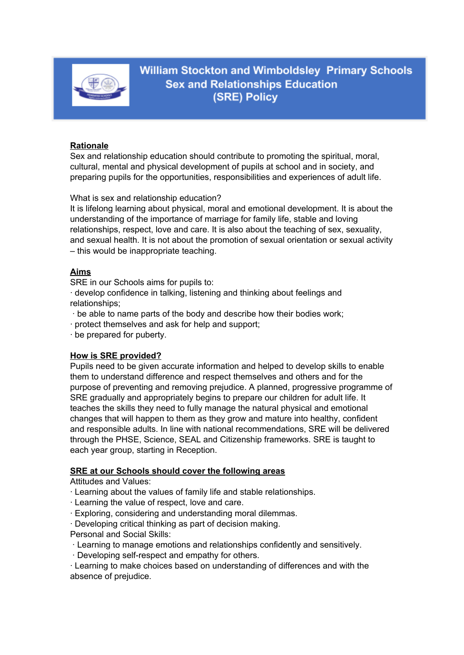

**William Stockton and Wimboldsley Primary Schools Sex and Relationships Education** (SRE) Policy

### **Rationale**

Sex and relationship education should contribute to promoting the spiritual, moral, cultural, mental and physical development of pupils at school and in society, and preparing pupils for the opportunities, responsibilities and experiences of adult life.

What is sex and relationship education?

It is lifelong learning about physical, moral and emotional development. It is about the understanding of the importance of marriage for family life, stable and loving relationships, respect, love and care. It is also about the teaching of sex, sexuality, and sexual health. It is not about the promotion of sexual orientation or sexual activity – this would be inappropriate teaching.

# **Aims**

SRE in our Schools aims for pupils to:

· develop confidence in talking, listening and thinking about feelings and relationships;

- · be able to name parts of the body and describe how their bodies work;
- · protect themselves and ask for help and support;

· be prepared for puberty.

### **How is SRE provided?**

Pupils need to be given accurate information and helped to develop skills to enable them to understand difference and respect themselves and others and for the purpose of preventing and removing prejudice. A planned, progressive programme of SRE gradually and appropriately begins to prepare our children for adult life. It teaches the skills they need to fully manage the natural physical and emotional changes that will happen to them as they grow and mature into healthy, confident and responsible adults. In line with national recommendations, SRE will be delivered through the PHSE, Science, SEAL and Citizenship frameworks. SRE is taught to each year group, starting in Reception.

#### **SRE at our Schools should cover the following areas**

Attitudes and Values:

· Learning about the values of family life and stable relationships.

- · Learning the value of respect, love and care.
- · Exploring, considering and understanding moral dilemmas.
- · Developing critical thinking as part of decision making.
- Personal and Social Skills:
- · Learning to manage emotions and relationships confidently and sensitively.
- · Developing self-respect and empathy for others.

· Learning to make choices based on understanding of differences and with the absence of prejudice.